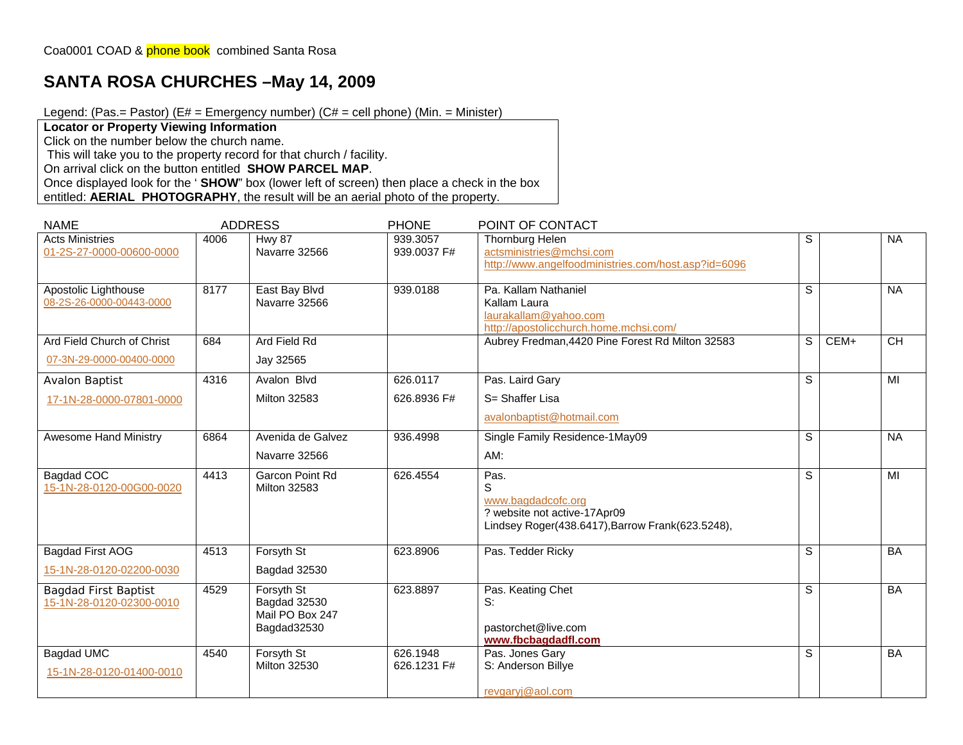## **SANTA ROSA CHURCHES –May 14, 2009**

Legend: (Pas.= Pastor) ( $E#$  = Emergency number) ( $C#$  = cell phone) (Min. = Minister)

**Locator or Property Viewing Information** 

Click on the number below the church name.

This will take you to the property record for that church / facility.

On arrival click on the button entitled **SHOW PARCEL MAP**.

Once displayed look for the ' **SHOW**" box (lower left of screen) then place a check in the box entitled: **AERIAL PHOTOGRAPHY**, the result will be an aerial photo of the property.

| <b>NAME</b>                                             |      | <b>ADDRESS</b>                                               | <b>PHONE</b>            | POINT OF CONTACT                                                                                                    |   |        |           |
|---------------------------------------------------------|------|--------------------------------------------------------------|-------------------------|---------------------------------------------------------------------------------------------------------------------|---|--------|-----------|
| <b>Acts Ministries</b><br>01-2S-27-0000-00600-0000      | 4006 | <b>Hwy 87</b><br>Navarre 32566                               | 939.3057<br>939,0037 F# | Thornburg Helen<br>actsministries@mchsi.com<br>http://www.angelfoodministries.com/host.asp?id=6096                  | S |        | <b>NA</b> |
| Apostolic Lighthouse<br>08-2S-26-0000-00443-0000        | 8177 | East Bay Blvd<br>Navarre 32566                               | 939.0188                | Pa. Kallam Nathaniel<br>Kallam Laura<br>laurakallam@yahoo.com<br>http://apostolicchurch.home.mchsi.com/             | S |        | <b>NA</b> |
| Ard Field Church of Christ                              | 684  | Ard Field Rd                                                 |                         | Aubrey Fredman, 4420 Pine Forest Rd Milton 32583                                                                    | S | $CEM+$ | CH        |
| 07-3N-29-0000-00400-0000                                |      | Jay 32565                                                    |                         |                                                                                                                     |   |        |           |
| <b>Avalon Baptist</b>                                   | 4316 | Avalon Blvd                                                  | 626.0117                | Pas. Laird Gary                                                                                                     | S |        | MI        |
| 17-1N-28-0000-07801-0000                                |      | <b>Milton 32583</b>                                          | 626.8936 F#             | S= Shaffer Lisa                                                                                                     |   |        |           |
|                                                         |      |                                                              |                         | avalonbaptist@hotmail.com                                                                                           |   |        |           |
| <b>Awesome Hand Ministry</b>                            | 6864 | Avenida de Galvez                                            | 936.4998                | Single Family Residence-1May09                                                                                      | S |        | <b>NA</b> |
|                                                         |      | Navarre 32566                                                |                         | AM:                                                                                                                 |   |        |           |
| Bagdad COC<br>15-1N-28-0120-00G00-0020                  | 4413 | Garcon Point Rd<br><b>Milton 32583</b>                       | 626.4554                | Pas.<br>S<br>www.bagdadcofc.org<br>? website not active-17Apr09<br>Lindsey Roger(438.6417), Barrow Frank(623.5248), | S |        | MI        |
| <b>Bagdad First AOG</b>                                 | 4513 | Forsyth St                                                   | 623.8906                | Pas. Tedder Ricky                                                                                                   | S |        | <b>BA</b> |
| 15-1N-28-0120-02200-0030                                |      | Bagdad 32530                                                 |                         |                                                                                                                     |   |        |           |
| <b>Bagdad First Baptist</b><br>15-1N-28-0120-02300-0010 | 4529 | Forsyth St<br>Bagdad 32530<br>Mail PO Box 247<br>Bagdad32530 | 623.8897                | Pas. Keating Chet<br>S:<br>pastorchet@live.com<br>www.fbcbagdadfl.com                                               | S |        | BA        |
| Bagdad UMC                                              | 4540 | Forsyth St                                                   | 626.1948                | Pas. Jones Gary                                                                                                     | S |        | BA        |
| 15-1N-28-0120-01400-0010                                |      | <b>Milton 32530</b>                                          | 626.1231 F#             | S: Anderson Billye                                                                                                  |   |        |           |
|                                                         |      |                                                              |                         | revgaryj@aol.com                                                                                                    |   |        |           |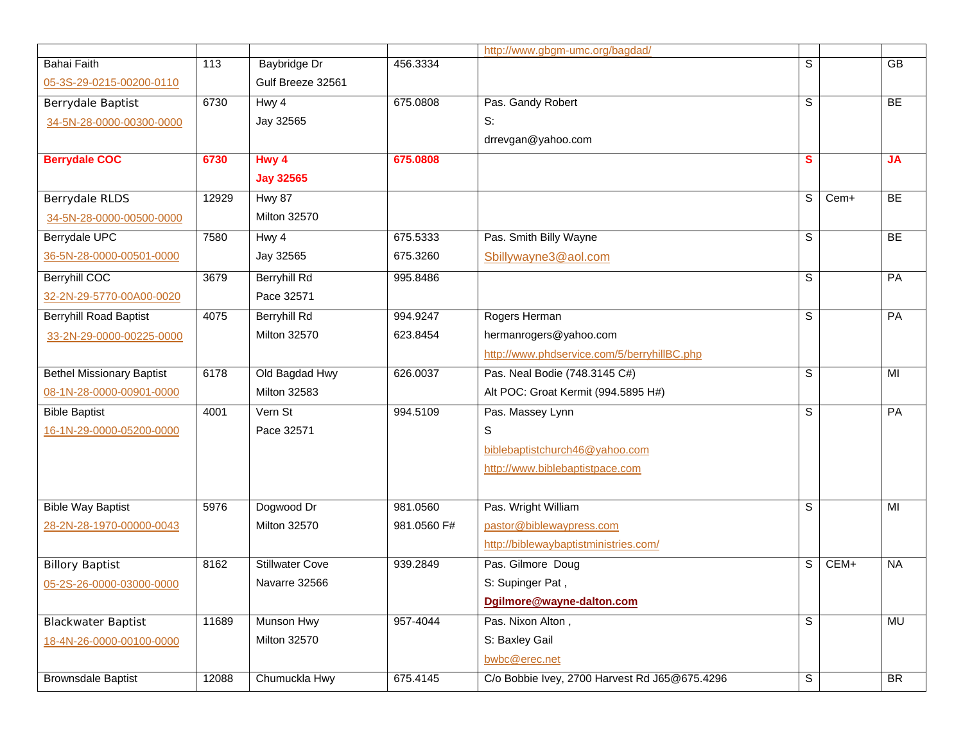|                                  |       |                        |             | http://www.gbgm-umc.org/bagdad/               |   |        |           |
|----------------------------------|-------|------------------------|-------------|-----------------------------------------------|---|--------|-----------|
| <b>Bahai Faith</b>               | 113   | <b>Baybridge Dr</b>    | 456.3334    |                                               | S |        | GB        |
| 05-3S-29-0215-00200-0110         |       | Gulf Breeze 32561      |             |                                               |   |        |           |
| Berrydale Baptist                | 6730  | Hwy 4                  | 675.0808    | Pas. Gandy Robert                             | S |        | BE        |
| 34-5N-28-0000-00300-0000         |       | Jay 32565              |             | S:                                            |   |        |           |
|                                  |       |                        |             | drrevgan@yahoo.com                            |   |        |           |
| <b>Berrydale COC</b>             | 6730  | Hwy 4                  | 675.0808    |                                               | S |        | <b>JA</b> |
|                                  |       | <b>Jay 32565</b>       |             |                                               |   |        |           |
| Berrydale RLDS                   | 12929 | <b>Hwy 87</b>          |             |                                               | S | Cem+   | BE        |
| 34-5N-28-0000-00500-0000         |       | <b>Milton 32570</b>    |             |                                               |   |        |           |
| <b>Berrydale UPC</b>             | 7580  | Hwy 4                  | 675.5333    | Pas. Smith Billy Wayne                        | S |        | BE        |
| 36-5N-28-0000-00501-0000         |       | Jay 32565              | 675.3260    | Sbillywayne3@aol.com                          |   |        |           |
| <b>Berryhill COC</b>             | 3679  | <b>Berryhill Rd</b>    | 995.8486    |                                               | S |        | PA        |
| 32-2N-29-5770-00A00-0020         |       | Pace 32571             |             |                                               |   |        |           |
| <b>Berryhill Road Baptist</b>    | 4075  | <b>Berryhill Rd</b>    | 994.9247    | Rogers Herman                                 | S |        | PA        |
| 33-2N-29-0000-00225-0000         |       | <b>Milton 32570</b>    | 623.8454    | hermanrogers@yahoo.com                        |   |        |           |
|                                  |       |                        |             | http://www.phdservice.com/5/berryhillBC.php   |   |        |           |
| <b>Bethel Missionary Baptist</b> | 6178  | Old Bagdad Hwy         | 626.0037    | Pas. Neal Bodie (748.3145 C#)                 | S |        | MI        |
| 08-1N-28-0000-00901-0000         |       | <b>Milton 32583</b>    |             | Alt POC: Groat Kermit (994.5895 H#)           |   |        |           |
| <b>Bible Baptist</b>             | 4001  | Vern St                | 994.5109    | Pas. Massey Lynn                              | S |        | PA        |
| 16-1N-29-0000-05200-0000         |       | Pace 32571             |             | S                                             |   |        |           |
|                                  |       |                        |             | biblebaptistchurch46@yahoo.com                |   |        |           |
|                                  |       |                        |             | http://www.biblebaptistpace.com               |   |        |           |
|                                  |       |                        |             |                                               |   |        |           |
| <b>Bible Way Baptist</b>         | 5976  | Dogwood Dr             | 981.0560    | Pas. Wright William                           | S |        | MI        |
| 28-2N-28-1970-00000-0043         |       | <b>Milton 32570</b>    | 981.0560 F# | pastor@biblewaypress.com                      |   |        |           |
|                                  |       |                        |             | http://biblewaybaptistministries.com/         |   |        |           |
| <b>Billory Baptist</b>           | 8162  | <b>Stillwater Cove</b> | 939.2849    | Pas. Gilmore Doug                             | S | $CEM+$ | <b>NA</b> |
| 05-2S-26-0000-03000-0000         |       | Navarre 32566          |             | S: Supinger Pat,                              |   |        |           |
|                                  |       |                        |             | Dgilmore@wayne-dalton.com                     |   |        |           |
| <b>Blackwater Baptist</b>        | 11689 | Munson Hwy             | 957-4044    | Pas. Nixon Alton,                             | S |        | MU        |
| 18-4N-26-0000-00100-0000         |       | Milton 32570           |             | S: Baxley Gail                                |   |        |           |
|                                  |       |                        |             | bwbc@erec.net                                 |   |        |           |
| <b>Brownsdale Baptist</b>        | 12088 | Chumuckla Hwy          | 675.4145    | C/o Bobbie Ivey, 2700 Harvest Rd J65@675.4296 | S |        | <b>BR</b> |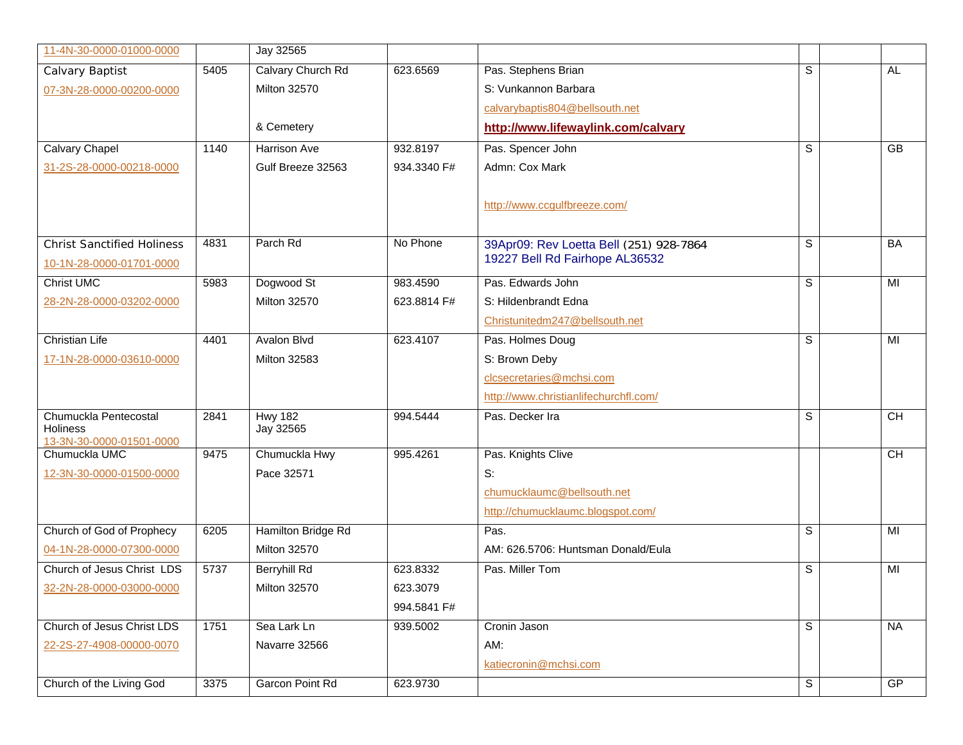| 11-4N-30-0000-01000-0000                    |      | Jay 32565           |             |                                         |   |           |
|---------------------------------------------|------|---------------------|-------------|-----------------------------------------|---|-----------|
| Calvary Baptist                             | 5405 | Calvary Church Rd   | 623.6569    | Pas. Stephens Brian                     | S | AL.       |
| 07-3N-28-0000-00200-0000                    |      | <b>Milton 32570</b> |             | S: Vunkannon Barbara                    |   |           |
|                                             |      |                     |             | calvarybaptis804@bellsouth.net          |   |           |
|                                             |      | & Cemetery          |             | http://www.lifewaylink.com/calvary      |   |           |
| <b>Calvary Chapel</b>                       | 1140 | Harrison Ave        | 932.8197    | Pas. Spencer John                       | S | GB        |
| 31-2S-28-0000-00218-0000                    |      | Gulf Breeze 32563   | 934.3340 F# | Admn: Cox Mark                          |   |           |
|                                             |      |                     |             |                                         |   |           |
|                                             |      |                     |             | http://www.ccgulfbreeze.com/            |   |           |
|                                             |      |                     |             |                                         |   |           |
| <b>Christ Sanctified Holiness</b>           | 4831 | Parch Rd            | No Phone    | 39Apr09: Rev Loetta Bell (251) 928-7864 | S | BA        |
| 10-1N-28-0000-01701-0000                    |      |                     |             | 19227 Bell Rd Fairhope AL36532          |   |           |
| <b>Christ UMC</b>                           | 5983 | Dogwood St          | 983.4590    | Pas. Edwards John                       | S | MI        |
| 28-2N-28-0000-03202-0000                    |      | <b>Milton 32570</b> | 623.8814 F# | S: Hildenbrandt Edna                    |   |           |
|                                             |      |                     |             | Christunitedm247@bellsouth.net          |   |           |
| <b>Christian Life</b>                       | 4401 | <b>Avalon Blvd</b>  | 623.4107    | Pas. Holmes Doug                        | S | MI        |
| 17-1N-28-0000-03610-0000                    |      | <b>Milton 32583</b> |             | S: Brown Deby                           |   |           |
|                                             |      |                     |             | clcsecretaries@mchsi.com                |   |           |
|                                             |      |                     |             | http://www.christianlifechurchfl.com/   |   |           |
| Chumuckla Pentecostal                       | 2841 | <b>Hwy 182</b>      | 994.5444    | Pas. Decker Ira                         | S | <b>CH</b> |
| <b>Holiness</b><br>13-3N-30-0000-01501-0000 |      | Jay 32565           |             |                                         |   |           |
| Chumuckla UMC                               | 9475 | Chumuckla Hwy       | 995.4261    | Pas. Knights Clive                      |   | <b>CH</b> |
| 12-3N-30-0000-01500-0000                    |      | Pace 32571          |             | S:                                      |   |           |
|                                             |      |                     |             | chumucklaumc@bellsouth.net              |   |           |
|                                             |      |                     |             | http://chumucklaumc.blogspot.com/       |   |           |
| Church of God of Prophecy                   | 6205 | Hamilton Bridge Rd  |             | Pas.                                    | S | MI        |
| 04-1N-28-0000-07300-0000                    |      | <b>Milton 32570</b> |             | AM: 626.5706: Huntsman Donald/Eula      |   |           |
| Church of Jesus Christ LDS                  | 5737 | <b>Berryhill Rd</b> | 623.8332    | Pas. Miller Tom                         | S | MI        |
| 32-2N-28-0000-03000-0000                    |      | Milton 32570        | 623.3079    |                                         |   |           |
|                                             |      |                     | 994.5841 F# |                                         |   |           |
| Church of Jesus Christ LDS                  | 1751 | Sea Lark Ln         | 939.5002    | Cronin Jason                            | S | <b>NA</b> |
| 22-2S-27-4908-00000-0070                    |      | Navarre 32566       |             | AM:                                     |   |           |
|                                             |      |                     |             | katiecronin@mchsi.com                   |   |           |
| Church of the Living God                    | 3375 | Garcon Point Rd     | 623.9730    |                                         | S | GP        |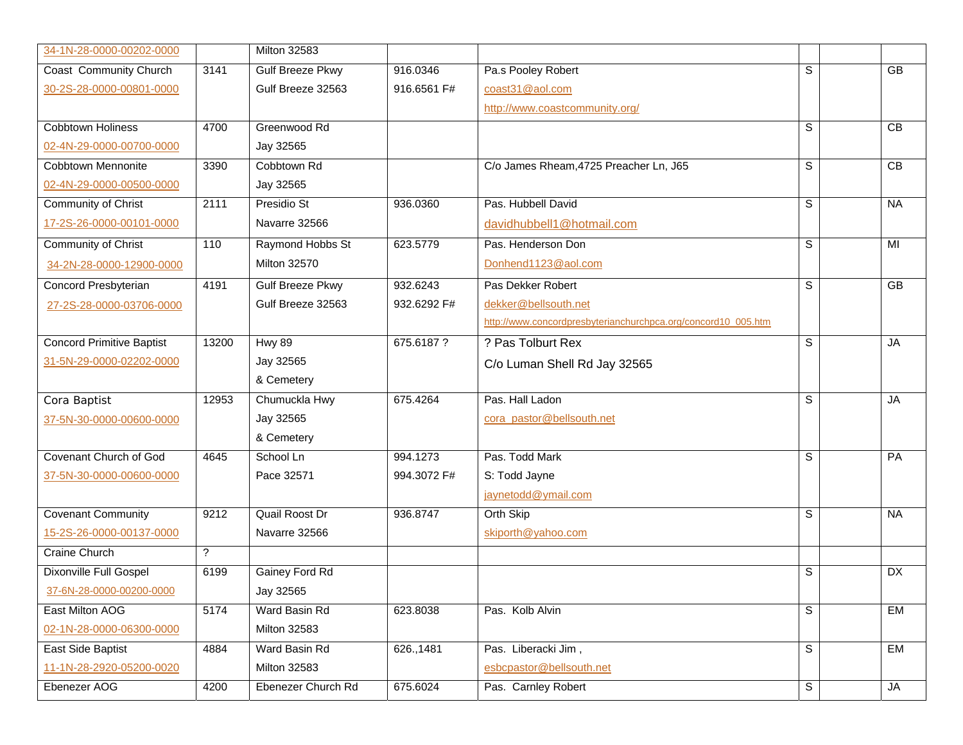| 34-1N-28-0000-00202-0000         |                          | <b>Milton 32583</b>     |             |                                                               |             |                 |
|----------------------------------|--------------------------|-------------------------|-------------|---------------------------------------------------------------|-------------|-----------------|
| Coast Community Church           | 3141                     | <b>Gulf Breeze Pkwy</b> | 916.0346    | Pa.s Pooley Robert                                            | S           | $\overline{GB}$ |
| 30-2S-28-0000-00801-0000         |                          | Gulf Breeze 32563       | 916.6561 F# | coast31@aol.com                                               |             |                 |
|                                  |                          |                         |             | http://www.coastcommunity.org/                                |             |                 |
| <b>Cobbtown Holiness</b>         | 4700                     | Greenwood Rd            |             |                                                               | S           | $\overline{CB}$ |
| 02-4N-29-0000-00700-0000         |                          | Jay 32565               |             |                                                               |             |                 |
| <b>Cobbtown Mennonite</b>        | 3390                     | Cobbtown Rd             |             | C/o James Rheam, 4725 Preacher Ln, J65                        | S           | CB              |
| 02-4N-29-0000-00500-0000         |                          | Jay 32565               |             |                                                               |             |                 |
| <b>Community of Christ</b>       | 2111                     | Presidio St             | 936.0360    | Pas. Hubbell David                                            | S           | <b>NA</b>       |
| 17-2S-26-0000-00101-0000         |                          | Navarre 32566           |             | davidhubbell1@hotmail.com                                     |             |                 |
| Community of Christ              | 110                      | Raymond Hobbs St        | 623.5779    | Pas. Henderson Don                                            | s           | MI              |
| 34-2N-28-0000-12900-0000         |                          | <b>Milton 32570</b>     |             | Donhend1123@aol.com                                           |             |                 |
| Concord Presbyterian             | 4191                     | <b>Gulf Breeze Pkwy</b> | 932.6243    | Pas Dekker Robert                                             | S           | $\overline{GB}$ |
| 27-2S-28-0000-03706-0000         |                          | Gulf Breeze 32563       | 932.6292 F# | dekker@bellsouth.net                                          |             |                 |
|                                  |                          |                         |             | http://www.concordpresbyterianchurchpca.org/concord10_005.htm |             |                 |
| <b>Concord Primitive Baptist</b> | 13200                    | <b>Hwy 89</b>           | 675.6187 ?  | ? Pas Tolburt Rex                                             | S           | <b>JA</b>       |
| 31-5N-29-0000-02202-0000         |                          | Jay 32565               |             | C/o Luman Shell Rd Jay 32565                                  |             |                 |
|                                  |                          | & Cemetery              |             |                                                               |             |                 |
| Cora Baptist                     | 12953                    | Chumuckla Hwy           | 675.4264    | Pas. Hall Ladon                                               | S           | <b>JA</b>       |
| 37-5N-30-0000-00600-0000         |                          | Jay 32565               |             | cora_pastor@bellsouth.net                                     |             |                 |
|                                  |                          | & Cemetery              |             |                                                               |             |                 |
| Covenant Church of God           | 4645                     | School Ln               | 994.1273    | Pas. Todd Mark                                                | S           | PA              |
| 37-5N-30-0000-00600-0000         |                          | Pace 32571              | 994.3072 F# | S: Todd Jayne                                                 |             |                 |
|                                  |                          |                         |             | jaynetodd@ymail.com                                           |             |                 |
| <b>Covenant Community</b>        | 9212                     | <b>Quail Roost Dr</b>   | 936.8747    | Orth Skip                                                     | S           | <b>NA</b>       |
| 15-2S-26-0000-00137-0000         |                          | Navarre 32566           |             | skiporth@yahoo.com                                            |             |                 |
| <b>Craine Church</b>             | $\overline{\mathcal{C}}$ |                         |             |                                                               |             |                 |
| Dixonville Full Gospel           | 6199                     | Gainey Ford Rd          |             |                                                               | S           | DX              |
| 37-6N-28-0000-00200-0000         |                          | Jay 32565               |             |                                                               |             |                 |
| East Milton AOG                  | 5174                     | Ward Basin Rd           | 623.8038    | Pas. Kolb Alvin                                               | S           | <b>EM</b>       |
| 02-1N-28-0000-06300-0000         |                          | <b>Milton 32583</b>     |             |                                                               |             |                 |
| East Side Baptist                | 4884                     | Ward Basin Rd           | 626., 1481  | Pas. Liberacki Jim,                                           | $\mathbb S$ | EM              |
| 11-1N-28-2920-05200-0020         |                          | Milton 32583            |             | esbcpastor@bellsouth.net                                      |             |                 |
| Ebenezer AOG                     | 4200                     | Ebenezer Church Rd      | 675.6024    | Pas. Carnley Robert                                           | S           | JA              |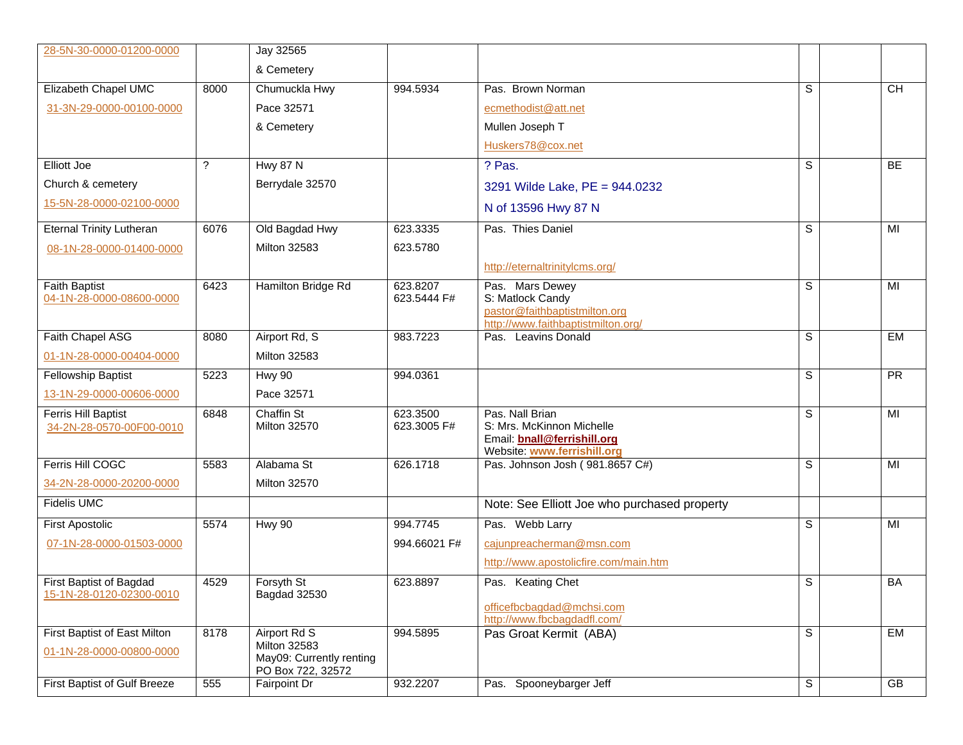| 28-5N-30-0000-01200-0000            |      | Jay 32565                                     |              |                                                          |                |                 |
|-------------------------------------|------|-----------------------------------------------|--------------|----------------------------------------------------------|----------------|-----------------|
|                                     |      | & Cemetery                                    |              |                                                          |                |                 |
| Elizabeth Chapel UMC                | 8000 | Chumuckla Hwy                                 | 994.5934     | Pas. Brown Norman                                        | S              | <b>CH</b>       |
| 31-3N-29-0000-00100-0000            |      | Pace 32571                                    |              | ecmethodist@att.net                                      |                |                 |
|                                     |      | & Cemetery                                    |              | Mullen Joseph T                                          |                |                 |
|                                     |      |                                               |              | Huskers78@cox.net                                        |                |                 |
| <b>Elliott Joe</b>                  | ?    | <b>Hwy 87 N</b>                               |              | ? Pas.                                                   | S              | BE              |
| Church & cemetery                   |      | Berrydale 32570                               |              | 3291 Wilde Lake, PE = 944.0232                           |                |                 |
| 15-5N-28-0000-02100-0000            |      |                                               |              | N of 13596 Hwy 87 N                                      |                |                 |
| <b>Eternal Trinity Lutheran</b>     | 6076 | Old Bagdad Hwy                                | 623.3335     | Pas. Thies Daniel                                        | S              | $\overline{M}$  |
| 08-1N-28-0000-01400-0000            |      | <b>Milton 32583</b>                           | 623.5780     |                                                          |                |                 |
|                                     |      |                                               |              | http://eternaltrinitylcms.org/                           |                |                 |
| <b>Faith Baptist</b>                | 6423 | Hamilton Bridge Rd                            | 623.8207     | Pas. Mars Dewey                                          | S              | MI              |
| 04-1N-28-0000-08600-0000            |      |                                               | 623.5444 F#  | S: Matlock Candy<br>pastor@faithbaptistmilton.org        |                |                 |
|                                     |      |                                               |              | http://www.faithbaptistmilton.org/                       |                |                 |
| Faith Chapel ASG                    | 8080 | Airport Rd, S                                 | 983.7223     | Pas. Leavins Donald                                      | $\mathbb S$    | <b>EM</b>       |
| 01-1N-28-0000-00404-0000            |      | <b>Milton 32583</b>                           |              |                                                          |                |                 |
| Fellowship Baptist                  | 5223 | <b>Hwy 90</b>                                 | 994.0361     |                                                          | S              | $\overline{PR}$ |
| 13-1N-29-0000-00606-0000            |      | Pace 32571                                    |              |                                                          |                |                 |
| Ferris Hill Baptist                 | 6848 | <b>Chaffin St</b>                             | 623.3500     | Pas. Nall Brian                                          | S              | MI              |
| 34-2N-28-0570-00F00-0010            |      | <b>Milton 32570</b>                           | 623.3005 F#  | S: Mrs. McKinnon Michelle<br>Email: bnall@ferrishill.org |                |                 |
|                                     |      |                                               |              | Website: www.ferrishill.org                              |                |                 |
| Ferris Hill COGC                    | 5583 | Alabama St                                    | 626.1718     | Pas. Johnson Josh (981.8657 C#)                          | S              | MI              |
| 34-2N-28-0000-20200-0000            |      | <b>Milton 32570</b>                           |              |                                                          |                |                 |
| <b>Fidelis UMC</b>                  |      |                                               |              | Note: See Elliott Joe who purchased property             |                |                 |
| <b>First Apostolic</b>              | 5574 | <b>Hwy 90</b>                                 | 994.7745     | Pas. Webb Larry                                          | S              | MI              |
| 07-1N-28-0000-01503-0000            |      |                                               | 994.66021 F# | cajunpreacherman@msn.com                                 |                |                 |
|                                     |      |                                               |              | http://www.apostolicfire.com/main.htm                    |                |                 |
| First Baptist of Bagdad             | 4529 | Forsyth St                                    | 623.8897     | Pas. Keating Chet                                        | S              | BA              |
| 15-1N-28-0120-02300-0010            |      | Bagdad 32530                                  |              | officefbcbagdad@mchsi.com                                |                |                 |
|                                     |      |                                               |              | http://www.fbcbagdadfl.com/                              |                |                 |
| First Baptist of East Milton        | 8178 | Airport Rd S<br><b>Milton 32583</b>           | 994.5895     | Pas Groat Kermit (ABA)                                   | S              | EM              |
| 01-1N-28-0000-00800-0000            |      | May09: Currently renting<br>PO Box 722, 32572 |              |                                                          |                |                 |
| <b>First Baptist of Gulf Breeze</b> | 555  | Fairpoint Dr                                  | 932.2207     | Pas. Spooneybarger Jeff                                  | $\overline{s}$ | GB              |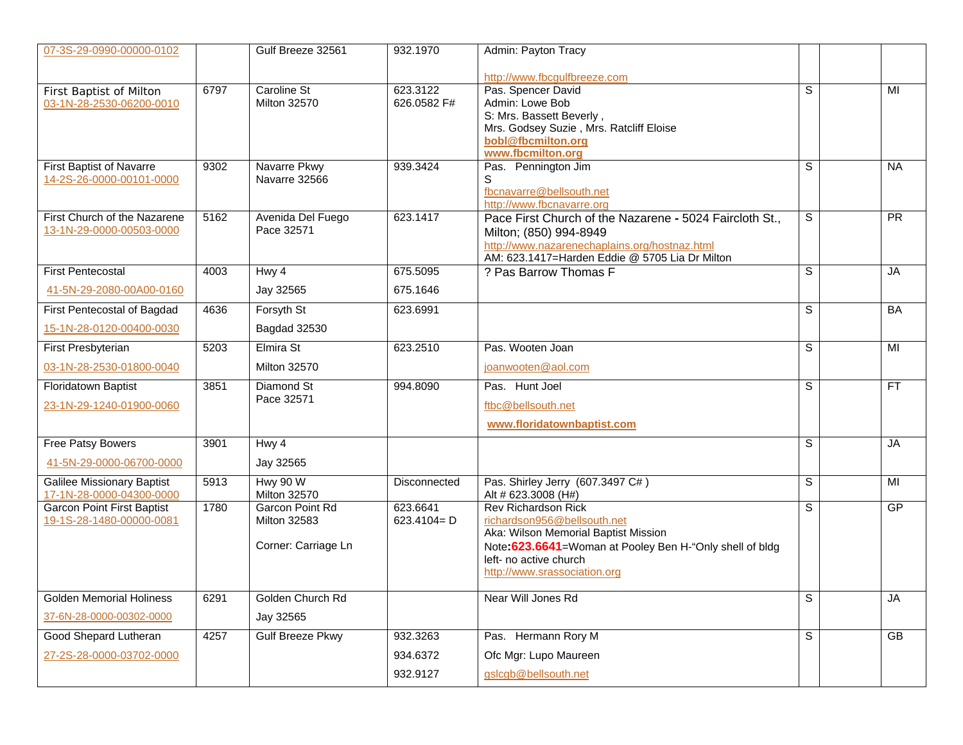| 07-3S-29-0990-00000-0102                                      |      | Gulf Breeze 32561                                             | 932.1970                         | Admin: Payton Tracy                                                                                                                                                                                                     |             |                 |
|---------------------------------------------------------------|------|---------------------------------------------------------------|----------------------------------|-------------------------------------------------------------------------------------------------------------------------------------------------------------------------------------------------------------------------|-------------|-----------------|
|                                                               |      |                                                               |                                  | http://www.fbcgulfbreeze.com                                                                                                                                                                                            |             |                 |
| First Baptist of Milton<br>03-1N-28-2530-06200-0010           | 6797 | Caroline St<br><b>Milton 32570</b>                            | 623.3122<br>626.0582 F#          | Pas. Spencer David<br>Admin: Lowe Bob<br>S: Mrs. Bassett Beverly,<br>Mrs. Godsey Suzie, Mrs. Ratcliff Eloise<br>bobl@fbcmilton.org<br>www.fbcmilton.org                                                                 | S           | MI              |
| <b>First Baptist of Navarre</b><br>14-2S-26-0000-00101-0000   | 9302 | Navarre Pkwy<br>Navarre 32566                                 | 939.3424                         | Pas. Pennington Jim<br>S<br>fbcnavarre@bellsouth.net<br>http://www.fbcnavarre.org                                                                                                                                       | S           | <b>NA</b>       |
| First Church of the Nazarene<br>13-1N-29-0000-00503-0000      | 5162 | Avenida Del Fuego<br>Pace 32571                               | 623.1417                         | Pace First Church of the Nazarene - 5024 Faircloth St.,<br>Milton; (850) 994-8949<br>http://www.nazarenechaplains.org/hostnaz.html<br>AM: 623.1417=Harden Eddie @ 5705 Lia Dr Milton                                    | S           | $\overline{PR}$ |
| <b>First Pentecostal</b>                                      | 4003 | Hwy 4                                                         | 675.5095                         | ? Pas Barrow Thomas F                                                                                                                                                                                                   | S           | <b>JA</b>       |
| 41-5N-29-2080-00A00-0160                                      |      | Jay 32565                                                     | 675.1646                         |                                                                                                                                                                                                                         |             |                 |
| First Pentecostal of Bagdad                                   | 4636 | Forsyth St                                                    | 623.6991                         |                                                                                                                                                                                                                         | S           | BA              |
| 15-1N-28-0120-00400-0030                                      |      | Bagdad 32530                                                  |                                  |                                                                                                                                                                                                                         |             |                 |
| First Presbyterian                                            | 5203 | Elmira St                                                     | 623.2510                         | Pas. Wooten Joan                                                                                                                                                                                                        | S           | MI              |
| 03-1N-28-2530-01800-0040                                      |      | <b>Milton 32570</b>                                           |                                  | joanwooten@aol.com                                                                                                                                                                                                      |             |                 |
| Floridatown Baptist<br>23-1N-29-1240-01900-0060               | 3851 | Diamond St<br>Pace 32571                                      | 994.8090                         | Pas. Hunt Joel<br>ftbc@bellsouth.net<br>www.floridatownbaptist.com                                                                                                                                                      | S           | <b>FT</b>       |
| Free Patsy Bowers                                             | 3901 | Hwy 4                                                         |                                  |                                                                                                                                                                                                                         | S           | <b>JA</b>       |
| 41-5N-29-0000-06700-0000                                      |      | Jay 32565                                                     |                                  |                                                                                                                                                                                                                         |             |                 |
| <b>Galilee Missionary Baptist</b><br>17-1N-28-0000-04300-0000 | 5913 | Hwy 90 W<br><b>Milton 32570</b>                               | Disconnected                     | Pas. Shirley Jerry (607.3497 C#)<br>Alt # 623.3008 (H#)                                                                                                                                                                 | $\mathbb S$ | MI              |
| <b>Garcon Point First Baptist</b><br>19-1S-28-1480-00000-0081 | 1780 | Garcon Point Rd<br><b>Milton 32583</b><br>Corner: Carriage Ln | 623.6641<br>$623.4104 = D$       | <b>Rev Richardson Rick</b><br>richardson956@bellsouth.net<br>Aka: Wilson Memorial Baptist Mission<br>Note: 623.6641=Woman at Pooley Ben H-"Only shell of bldg<br>left- no active church<br>http://www.srassociation.org | S           | GP              |
| <b>Golden Memorial Holiness</b>                               | 6291 | Golden Church Rd                                              |                                  | Near Will Jones Rd                                                                                                                                                                                                      | S           | <b>JA</b>       |
| 37-6N-28-0000-00302-0000                                      |      | Jay 32565                                                     |                                  |                                                                                                                                                                                                                         |             |                 |
| Good Shepard Lutheran<br>27-2S-28-0000-03702-0000             | 4257 | Gulf Breeze Pkwy                                              | 932.3263<br>934.6372<br>932.9127 | Pas. Hermann Rory M<br>Ofc Mgr: Lupo Maureen<br>gslcgb@bellsouth.net                                                                                                                                                    | S           | GB              |
|                                                               |      |                                                               |                                  |                                                                                                                                                                                                                         |             |                 |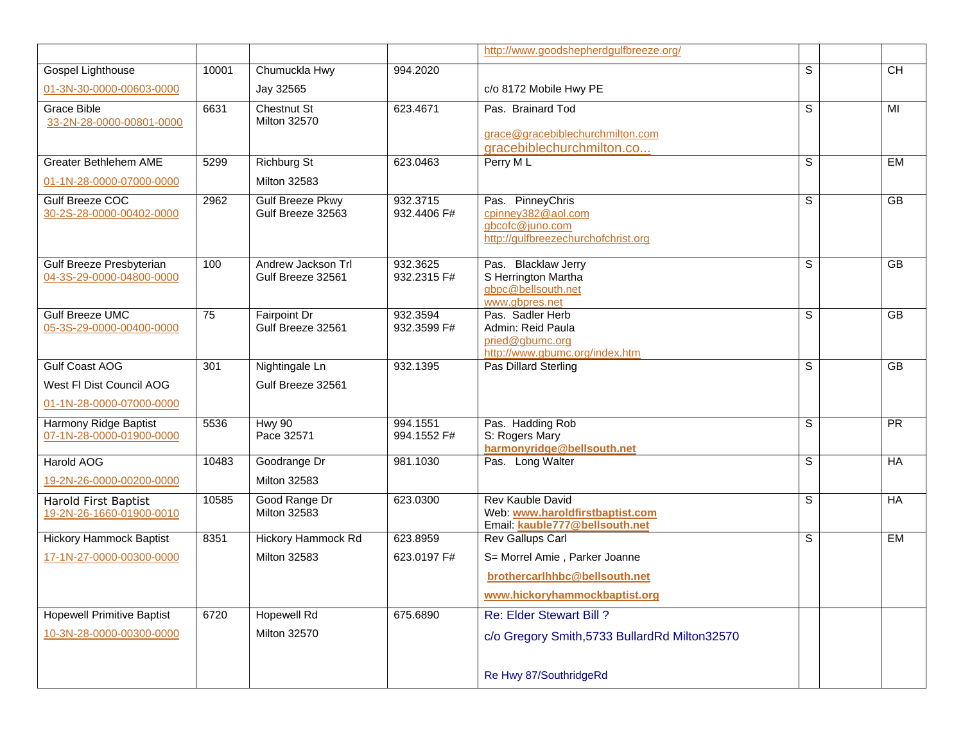|                                                      |       |                                              |                         | http://www.goodshepherdgulfbreeze.org/                                                           |                |                 |  |
|------------------------------------------------------|-------|----------------------------------------------|-------------------------|--------------------------------------------------------------------------------------------------|----------------|-----------------|--|
| Gospel Lighthouse                                    | 10001 | Chumuckla Hwy                                | 994.2020                |                                                                                                  | $\overline{s}$ | $\overline{CH}$ |  |
| 01-3N-30-0000-00603-0000                             |       | Jay 32565                                    |                         | c/o 8172 Mobile Hwy PE                                                                           |                |                 |  |
| <b>Grace Bible</b><br>33-2N-28-0000-00801-0000       | 6631  | <b>Chestnut St</b><br><b>Milton 32570</b>    | 623.4671                | Pas. Brainard Tod<br>grace@gracebiblechurchmilton.com<br>gracebiblechurchmilton.co               | S              | MI              |  |
| Greater Bethlehem AME                                | 5299  | <b>Richburg St</b>                           | 623.0463                | Perry ML                                                                                         | S              | EM              |  |
| 01-1N-28-0000-07000-0000                             |       | <b>Milton 32583</b>                          |                         |                                                                                                  |                |                 |  |
| Gulf Breeze COC<br>30-2S-28-0000-00402-0000          | 2962  | <b>Gulf Breeze Pkwy</b><br>Gulf Breeze 32563 | 932.3715<br>932.4406 F# | Pas. PinneyChris<br>cpinney382@aol.com<br>gbcofc@juno.com<br>http://gulfbreezechurchofchrist.org | S              | $\overline{GB}$ |  |
| Gulf Breeze Presbyterian<br>04-3S-29-0000-04800-0000 | 100   | Andrew Jackson Trl<br>Gulf Breeze 32561      | 932.3625<br>932.2315 F# | Pas. Blacklaw Jerry<br>S Herrington Martha<br>gbpc@bellsouth.net<br>www.gbpres.net               | S              | GB              |  |
| <b>Gulf Breeze UMC</b><br>05-3S-29-0000-00400-0000   | 75    | Fairpoint Dr<br>Gulf Breeze 32561            | 932.3594<br>932.3599 F# | Pas. Sadler Herb<br>Admin: Reid Paula<br>pried@gbumc.org<br>http://www.gbumc.org/index.htm       | S              | <b>GB</b>       |  |
| <b>Gulf Coast AOG</b>                                | 301   | Nightingale Ln                               | 932.1395                | Pas Dillard Sterling                                                                             | S              | $\overline{GB}$ |  |
| West FI Dist Council AOG                             |       | Gulf Breeze 32561                            |                         |                                                                                                  |                |                 |  |
| 01-1N-28-0000-07000-0000                             |       |                                              |                         |                                                                                                  |                |                 |  |
| Harmony Ridge Baptist<br>07-1N-28-0000-01900-0000    | 5536  | <b>Hwy 90</b><br>Pace 32571                  | 994.1551<br>994.1552 F# | Pas. Hadding Rob<br>S: Rogers Mary<br>harmonyridge@bellsouth.net                                 | S              | <b>PR</b>       |  |
| <b>Harold AOG</b>                                    | 10483 | Goodrange Dr                                 | 981.1030                | Pas. Long Walter                                                                                 | S              | HA              |  |
| 19-2N-26-0000-00200-0000                             |       | <b>Milton 32583</b>                          |                         |                                                                                                  |                |                 |  |
| Harold First Baptist<br>19-2N-26-1660-01900-0010     | 10585 | Good Range Dr<br><b>Milton 32583</b>         | 623.0300                | <b>Rev Kauble David</b><br>Web: www.haroldfirstbaptist.com<br>Email: kauble777@bellsouth.net     | s              | HA              |  |
| <b>Hickory Hammock Baptist</b>                       | 8351  | <b>Hickory Hammock Rd</b>                    | 623.8959                | Rev Gallups Carl                                                                                 | $\overline{s}$ | <b>EM</b>       |  |
| 17-1N-27-0000-00300-0000                             |       | <b>Milton 32583</b>                          | 623.0197 F#             | S= Morrel Amie, Parker Joanne                                                                    |                |                 |  |
|                                                      |       |                                              |                         | brothercarlhhbc@bellsouth.net                                                                    |                |                 |  |
|                                                      |       |                                              |                         | www.hickoryhammockbaptist.org                                                                    |                |                 |  |
| <b>Hopewell Primitive Baptist</b>                    | 6720  | <b>Hopewell Rd</b>                           | 675.6890                | Re: Elder Stewart Bill?                                                                          |                |                 |  |
| 10-3N-28-0000-00300-0000                             |       | <b>Milton 32570</b>                          |                         | c/o Gregory Smith, 5733 BullardRd Milton 32570                                                   |                |                 |  |
|                                                      |       |                                              |                         | Re Hwy 87/SouthridgeRd                                                                           |                |                 |  |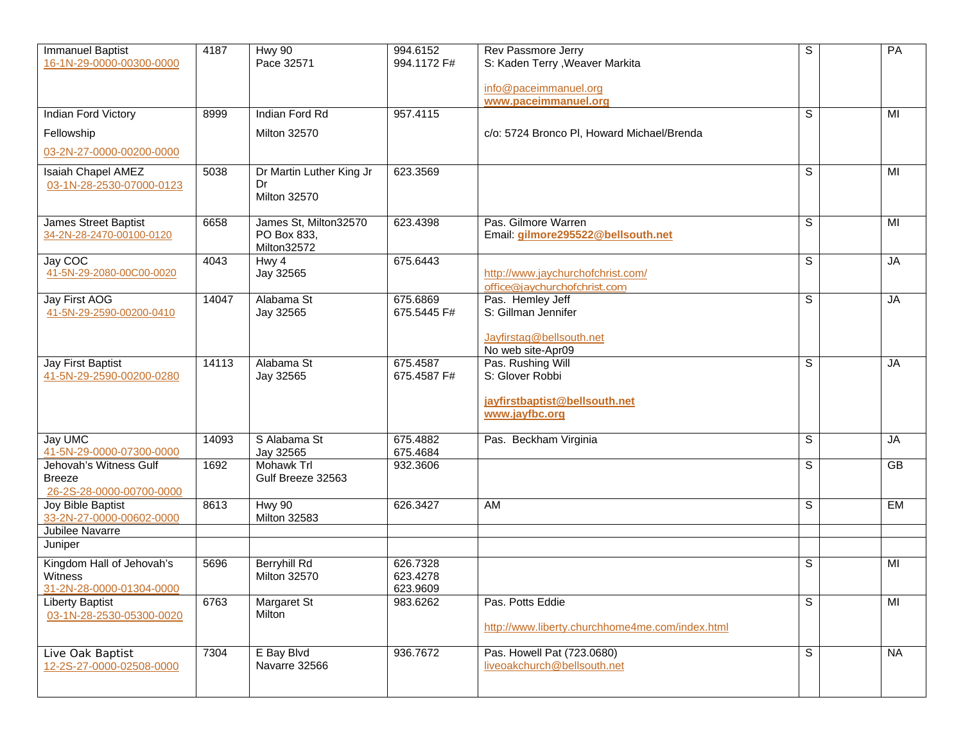| <b>Immanuel Baptist</b><br>16-1N-29-0000-00300-0000                     | 4187             | <b>Hwy 90</b><br>Pace 32571                           | 994.6152<br>994.1172 F#          | Rev Passmore Jerry<br>S: Kaden Terry , Weaver Markita<br>info@paceimmanuel.org           | S | PA        |
|-------------------------------------------------------------------------|------------------|-------------------------------------------------------|----------------------------------|------------------------------------------------------------------------------------------|---|-----------|
| Indian Ford Victory<br>Fellowship<br>03-2N-27-0000-00200-0000           | 8999             | Indian Ford Rd<br><b>Milton 32570</b>                 | 957.4115                         | www.paceimmanuel.org<br>c/o: 5724 Bronco PI, Howard Michael/Brenda                       | S | MI        |
| <b>Isaiah Chapel AMEZ</b><br>03-1N-28-2530-07000-0123                   | 5038             | Dr Martin Luther King Jr<br>Dr<br><b>Milton 32570</b> | 623.3569                         |                                                                                          | S | MI        |
| James Street Baptist<br>34-2N-28-2470-00100-0120                        | 6658             | James St, Milton32570<br>PO Box 833,<br>Milton32572   | 623.4398                         | Pas. Gilmore Warren<br>Email: gilmore295522@bellsouth.net                                | S | MI        |
| Jay COC<br>41-5N-29-2080-00C00-0020                                     | 4043             | Hwy 4<br>Jay 32565                                    | 675.6443                         | http://www.jaychurchofchrist.com/<br>office@jaychurchofchrist.com                        | S | <b>JA</b> |
| Jay First AOG<br>41-5N-29-2590-00200-0410                               | 14047            | Alabama St<br>Jay 32565                               | 675.6869<br>675.5445 F#          | Pas. Hemley Jeff<br>S: Gillman Jennifer<br>Jayfirstag@bellsouth.net<br>No web site-Apr09 | S | <b>JA</b> |
| Jay First Baptist<br>41-5N-29-2590-00200-0280                           | 14113            | Alabama St<br>Jay 32565                               | 675.4587<br>675.4587 F#          | Pas. Rushing Will<br>S: Glover Robbi<br>jayfirstbaptist@bellsouth.net<br>www.jayfbc.org  | S | <b>JA</b> |
| Jay UMC<br>41-5N-29-0000-07300-0000                                     | 14093            | S Alabama St<br>Jay 32565                             | 675.4882<br>675.4684             | Pas. Beckham Virginia                                                                    | S | <b>JA</b> |
| Jehovah's Witness Gulf<br><b>Breeze</b><br>26-2S-28-0000-00700-0000     | $\frac{1}{1692}$ | <b>Mohawk Trl</b><br>Gulf Breeze 32563                | 932.3606                         |                                                                                          | S | <b>GB</b> |
| Joy Bible Baptist<br>33-2N-27-0000-00602-0000<br>Jubilee Navarre        | 8613             | <b>Hwy 90</b><br>Milton 32583                         | 626.3427                         | AM                                                                                       | S | EM        |
| Juniper                                                                 |                  |                                                       |                                  |                                                                                          |   |           |
| Kingdom Hall of Jehovah's<br><b>Witness</b><br>31-2N-28-0000-01304-0000 | 5696             | <b>Berryhill Rd</b><br><b>Milton 32570</b>            | 626.7328<br>623.4278<br>623.9609 |                                                                                          | S | MI        |
| <b>Liberty Baptist</b><br>03-1N-28-2530-05300-0020                      | 6763             | Margaret St<br>Milton                                 | 983.6262                         | Pas. Potts Eddie<br>http://www.liberty.churchhome4me.com/index.html                      | S | MI        |
| Live Oak Baptist<br>12-2S-27-0000-02508-0000                            | 7304             | E Bay Blvd<br>Navarre 32566                           | 936.7672                         | Pas. Howell Pat (723.0680)<br>liveoakchurch@bellsouth.net                                | S | <b>NA</b> |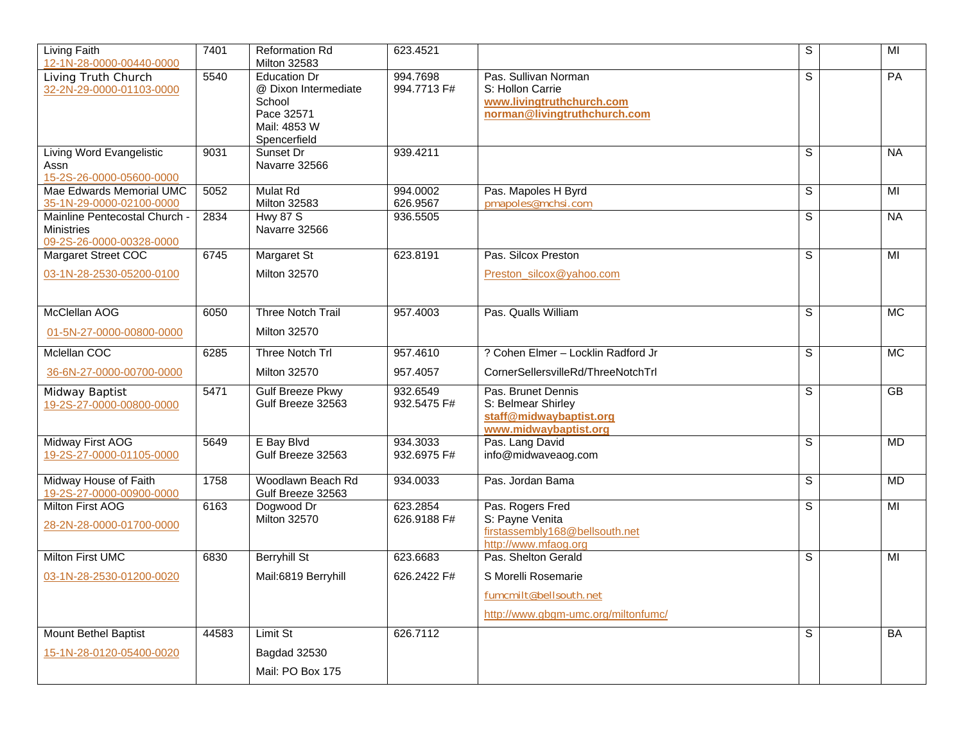| Living Faith<br>12-1N-28-0000-00440-0000                                       | 7401  | <b>Reformation Rd</b><br><b>Milton 32583</b>                                                        | 623.4521                |                                                                                                       | S | MI        |
|--------------------------------------------------------------------------------|-------|-----------------------------------------------------------------------------------------------------|-------------------------|-------------------------------------------------------------------------------------------------------|---|-----------|
| Living Truth Church<br>32-2N-29-0000-01103-0000                                | 5540  | <b>Education Dr</b><br>@ Dixon Intermediate<br>School<br>Pace 32571<br>Mail: 4853 W<br>Spencerfield | 994.7698<br>994.7713 F# | Pas. Sullivan Norman<br>S: Hollon Carrie<br>www.livingtruthchurch.com<br>norman@livingtruthchurch.com | S | PA        |
| Living Word Evangelistic<br>Assn<br>15-2S-26-0000-05600-0000                   | 9031  | Sunset Dr<br>Navarre 32566                                                                          | 939.4211                |                                                                                                       | S | <b>NA</b> |
| Mae Edwards Memorial UMC<br>35-1N-29-0000-02100-0000                           | 5052  | <b>Mulat Rd</b><br><b>Milton 32583</b>                                                              | 994.0002<br>626.9567    | Pas. Mapoles H Byrd<br>pmapoles@mchsi.com                                                             | S | MI        |
| Mainline Pentecostal Church -<br><b>Ministries</b><br>09-2S-26-0000-00328-0000 | 2834  | <b>Hwy 87 S</b><br>Navarre 32566                                                                    | 936.5505                |                                                                                                       | S | <b>NA</b> |
| Margaret Street COC                                                            | 6745  | Margaret St                                                                                         | 623.8191                | Pas. Silcox Preston                                                                                   | S | MI        |
| 03-1N-28-2530-05200-0100                                                       |       | <b>Milton 32570</b>                                                                                 |                         | Preston_silcox@yahoo.com                                                                              |   |           |
| McClellan AOG                                                                  | 6050  | <b>Three Notch Trail</b>                                                                            | 957.4003                | Pas. Qualls William                                                                                   | S | <b>MC</b> |
| 01-5N-27-0000-00800-0000                                                       |       | <b>Milton 32570</b>                                                                                 |                         |                                                                                                       |   |           |
| Mclellan COC                                                                   | 6285  | Three Notch Trl                                                                                     | 957.4610                | ? Cohen Elmer - Locklin Radford Jr                                                                    | S | <b>MC</b> |
| 36-6N-27-0000-00700-0000                                                       |       | <b>Milton 32570</b>                                                                                 | 957.4057                | CornerSellersvilleRd/ThreeNotchTrl                                                                    |   |           |
| Midway Baptist<br>19-2S-27-0000-00800-0000                                     | 5471  | <b>Gulf Breeze Pkwy</b><br>Gulf Breeze 32563                                                        | 932.6549<br>932.5475 F# | Pas. Brunet Dennis<br>S: Belmear Shirley<br>staff@midwaybaptist.org<br>www.midwaybaptist.org          | S | GB        |
| Midway First AOG<br>19-2S-27-0000-01105-0000                                   | 5649  | E Bay Blvd<br>Gulf Breeze 32563                                                                     | 934.3033<br>932.6975 F# | Pas. Lang David<br>info@midwaveaog.com                                                                | S | <b>MD</b> |
| Midway House of Faith<br>19-2S-27-0000-00900-0000                              | 1758  | Woodlawn Beach Rd<br>Gulf Breeze 32563                                                              | 934.0033                | Pas. Jordan Bama                                                                                      | S | <b>MD</b> |
| Milton First AOG<br>28-2N-28-0000-01700-0000                                   | 6163  | Dogwood Dr<br><b>Milton 32570</b>                                                                   | 623.2854<br>626.9188 F# | Pas. Rogers Fred<br>S: Payne Venita<br>firstassembly168@bellsouth.net<br>http://www.mfaog.org         | S | MI        |
| Milton First UMC                                                               | 6830  | <b>Berryhill St</b>                                                                                 | 623.6683                | Pas. Shelton Gerald                                                                                   | S | MI        |
| 03-1N-28-2530-01200-0020                                                       |       | Mail:6819 Berryhill                                                                                 | 626.2422 F#             | S Morelli Rosemarie<br>fumcmilt@bellsouth.net<br>http://www.gbgm-umc.org/miltonfumc/                  |   |           |
| Mount Bethel Baptist<br>15-1N-28-0120-05400-0020                               | 44583 | Limit St<br>Bagdad 32530<br>Mail: PO Box 175                                                        | 626.7112                |                                                                                                       | S | BA        |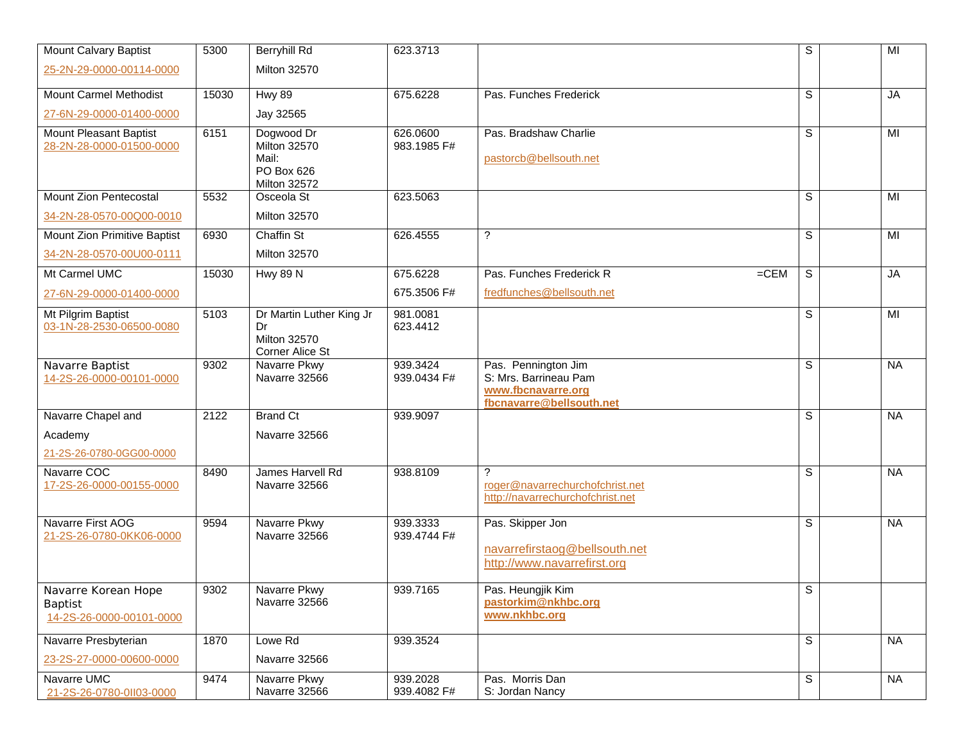| <b>Mount Calvary Baptist</b>                                      | 5300  | Berryhill Rd                                                                    | 623.3713                |                                                                                                | S                       | $\overline{M}$ |  |
|-------------------------------------------------------------------|-------|---------------------------------------------------------------------------------|-------------------------|------------------------------------------------------------------------------------------------|-------------------------|----------------|--|
| 25-2N-29-0000-00114-0000                                          |       | <b>Milton 32570</b>                                                             |                         |                                                                                                |                         |                |  |
| <b>Mount Carmel Methodist</b>                                     | 15030 | <b>Hwy 89</b>                                                                   | 675.6228                | Pas. Funches Frederick                                                                         | S                       | <b>JA</b>      |  |
| 27-6N-29-0000-01400-0000                                          |       | Jay 32565                                                                       |                         |                                                                                                |                         |                |  |
| Mount Pleasant Baptist<br>28-2N-28-0000-01500-0000                | 6151  | Dogwood Dr<br><b>Milton 32570</b><br>Mail:<br>PO Box 626<br><b>Milton 32572</b> | 626.0600<br>983.1985 F# | Pas. Bradshaw Charlie<br>pastorcb@bellsouth.net                                                | S                       | MI             |  |
| Mount Zion Pentecostal                                            | 5532  | Osceola St                                                                      | 623.5063                |                                                                                                | S                       | MI             |  |
| 34-2N-28-0570-00Q00-0010                                          |       | <b>Milton 32570</b>                                                             |                         |                                                                                                |                         |                |  |
| Mount Zion Primitive Baptist                                      | 6930  | Chaffin St                                                                      | 626.4555                | ?                                                                                              | $\mathbb S$             | MI             |  |
| 34-2N-28-0570-00U00-0111                                          |       | <b>Milton 32570</b>                                                             |                         |                                                                                                |                         |                |  |
| Mt Carmel UMC                                                     | 15030 | <b>Hwy 89 N</b>                                                                 | 675.6228                | $=$ CEM<br>Pas. Funches Frederick R                                                            | S                       | $J$ A          |  |
| 27-6N-29-0000-01400-0000                                          |       |                                                                                 | 675.3506 F#             | fredfunches@bellsouth.net                                                                      |                         |                |  |
| Mt Pilgrim Baptist<br>03-1N-28-2530-06500-0080                    | 5103  | Dr Martin Luther King Jr<br>Dr<br><b>Milton 32570</b><br>Corner Alice St        | 981.0081<br>623.4412    |                                                                                                | S                       | MI             |  |
| Navarre Baptist<br>14-2S-26-0000-00101-0000                       | 9302  | Navarre Pkwy<br>Navarre 32566                                                   | 939.3424<br>939.0434 F# | Pas. Pennington Jim<br>S: Mrs. Barrineau Pam<br>www.fbcnavarre.org<br>fbcnavarre@bellsouth.net | S                       | <b>NA</b>      |  |
| Navarre Chapel and                                                | 2122  | <b>Brand Ct</b>                                                                 | 939.9097                |                                                                                                | S                       | <b>NA</b>      |  |
| Academy                                                           |       | Navarre 32566                                                                   |                         |                                                                                                |                         |                |  |
| 21-2S-26-0780-0GG00-0000                                          |       |                                                                                 |                         |                                                                                                |                         |                |  |
| Navarre COC<br>17-2S-26-0000-00155-0000                           | 8490  | James Harvell Rd<br>Navarre 32566                                               | 938.8109                | <sup>2</sup><br>roger@navarrechurchofchrist.net<br>http://navarrechurchofchrist.net            | S                       | <b>NA</b>      |  |
| Navarre First AOG<br>21-2S-26-0780-0KK06-0000                     | 9594  | Navarre Pkwy<br>Navarre 32566                                                   | 939.3333<br>939.4744 F# | Pas. Skipper Jon<br>navarrefirstaog@bellsouth.net<br>http://www.navarrefirst.org               | S                       | <b>NA</b>      |  |
| Navarre Korean Hope<br><b>Baptist</b><br>14-2S-26-0000-00101-0000 | 9302  | Navarre Pkwy<br>Navarre 32566                                                   | 939.7165                | Pas. Heungjik Kim<br>pastorkim@nkhbc.org<br>www.nkhbc.org                                      | $\overline{\mathbf{s}}$ |                |  |
| Navarre Presbyterian                                              | 1870  | Lowe Rd                                                                         | 939.3524                |                                                                                                | S                       | <b>NA</b>      |  |
| 23-2S-27-0000-00600-0000                                          |       | Navarre 32566                                                                   |                         |                                                                                                |                         |                |  |
| Navarre UMC<br>21-2S-26-0780-0103-0000                            | 9474  | Navarre Pkwy<br>Navarre 32566                                                   | 939.2028<br>939.4082 F# | Pas. Morris Dan<br>S: Jordan Nancy                                                             | S                       | <b>NA</b>      |  |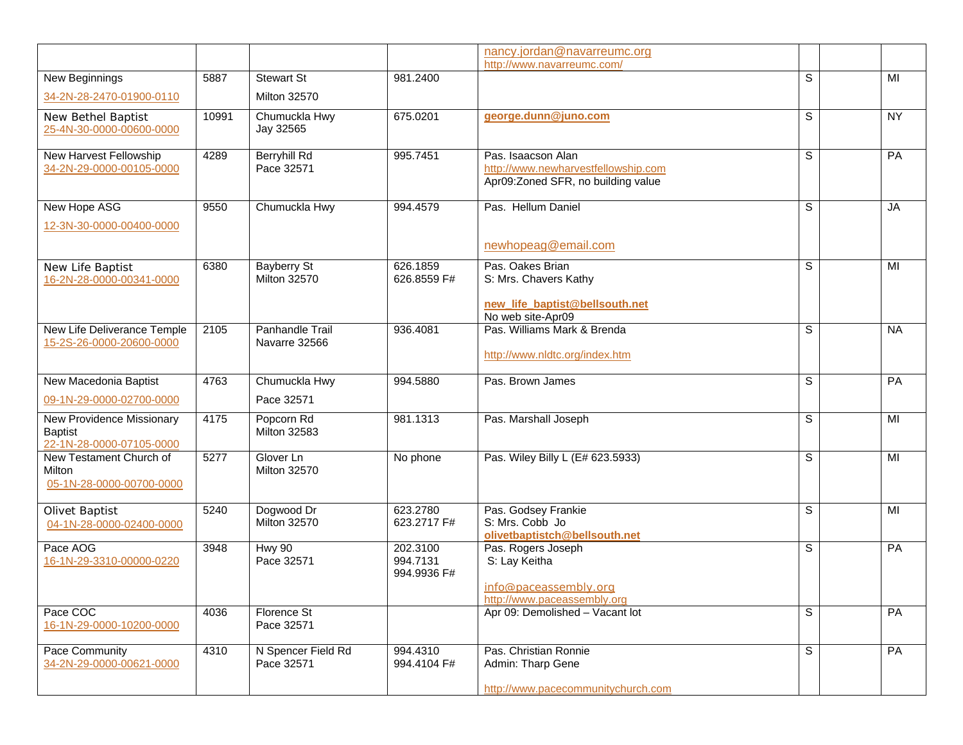|                                                                         |       |                                           |                                     | nancy.jordan@navarreumc.org<br>http://www.navarreumc.com/                                       |             |                 |
|-------------------------------------------------------------------------|-------|-------------------------------------------|-------------------------------------|-------------------------------------------------------------------------------------------------|-------------|-----------------|
| New Beginnings                                                          | 5887  | <b>Stewart St</b>                         | 981.2400                            |                                                                                                 | S           | MI              |
| 34-2N-28-2470-01900-0110                                                |       | <b>Milton 32570</b>                       |                                     |                                                                                                 |             |                 |
| New Bethel Baptist<br>25-4N-30-0000-00600-0000                          | 10991 | Chumuckla Hwy<br>Jay 32565                | 675.0201                            | george.dunn@juno.com                                                                            | S           | <b>NY</b>       |
| New Harvest Fellowship<br>34-2N-29-0000-00105-0000                      | 4289  | <b>Berryhill Rd</b><br>Pace 32571         | 995.7451                            | Pas. Isaacson Alan<br>http://www.newharvestfellowship.com<br>Apr09:Zoned SFR, no building value | S           | $\overline{PA}$ |
| New Hope ASG                                                            | 9550  | Chumuckla Hwy                             | 994.4579                            | Pas. Hellum Daniel                                                                              | S           | JA              |
| 12-3N-30-0000-00400-0000                                                |       |                                           |                                     | newhopeag@email.com                                                                             |             |                 |
| New Life Baptist<br>16-2N-28-0000-00341-0000                            | 6380  | <b>Bayberry St</b><br><b>Milton 32570</b> | 626.1859<br>626.8559 F#             | Pas. Oakes Brian<br>S: Mrs. Chavers Kathy<br>new_life_baptist@bellsouth.net                     | S           | MI              |
| New Life Deliverance Temple<br>15-2S-26-0000-20600-0000                 | 2105  | Panhandle Trail<br>Navarre 32566          | 936.4081                            | No web site-Apr09<br>Pas. Williams Mark & Brenda<br>http://www.nldtc.org/index.htm              | S           | <b>NA</b>       |
| New Macedonia Baptist                                                   | 4763  | Chumuckla Hwy                             | 994.5880                            | Pas. Brown James                                                                                | $\mathbb S$ | PA              |
| 09-1N-29-0000-02700-0000                                                |       | Pace 32571                                |                                     |                                                                                                 |             |                 |
| New Providence Missionary<br><b>Baptist</b><br>22-1N-28-0000-07105-0000 | 4175  | Popcorn Rd<br><b>Milton 32583</b>         | 981.1313                            | Pas. Marshall Joseph                                                                            | $\mathbb S$ | MI              |
| New Testament Church of<br>Milton<br>05-1N-28-0000-00700-0000           | 5277  | Glover Ln<br><b>Milton 32570</b>          | No phone                            | Pas. Wiley Billy L (E# 623.5933)                                                                | S           | MI              |
| <b>Olivet Baptist</b><br>04-1N-28-0000-02400-0000                       | 5240  | Dogwood Dr<br><b>Milton 32570</b>         | 623.2780<br>623.2717 F#             | Pas. Godsey Frankie<br>S: Mrs. Cobb Jo<br>olivetbaptistch@bellsouth.net                         | S           | MI              |
| Pace AOG<br>16-1N-29-3310-00000-0220                                    | 3948  | <b>Hwy 90</b><br>Pace 32571               | 202.3100<br>994.7131<br>994.9936 F# | Pas. Rogers Joseph<br>S: Lay Keitha<br>info@paceassembly.org<br>http://www.paceassembly.org     | S           | PA              |
| Pace COC<br>16-1N-29-0000-10200-0000                                    | 4036  | Florence St<br>Pace 32571                 |                                     | Apr 09: Demolished - Vacant lot                                                                 | S           | PA              |
| Pace Community<br>34-2N-29-0000-00621-0000                              | 4310  | N Spencer Field Rd<br>Pace 32571          | 994.4310<br>994.4104 F#             | Pas. Christian Ronnie<br>Admin: Tharp Gene<br>http://www.pacecommunitychurch.com                | S           | PA              |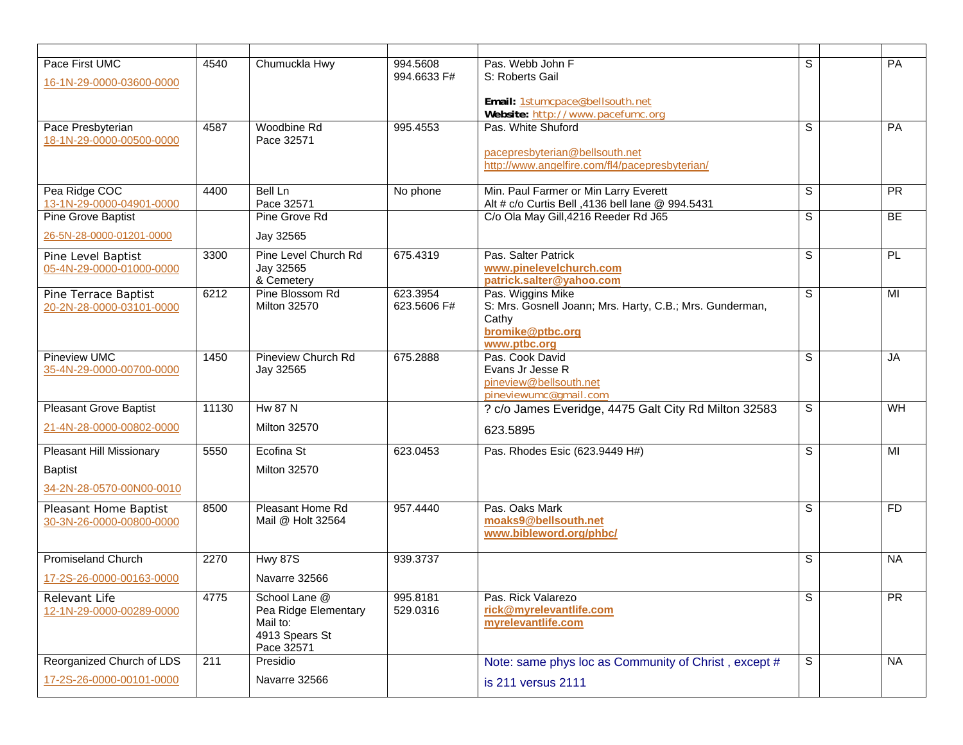| Pace First UMC<br>16-1N-29-0000-03600-0000        | 4540  | Chumuckla Hwy                                                                     | 994.5608<br>994.6633 F# | Pas. Webb John F<br>S: Roberts Gail<br>Email: 1stumcpace@bellsouth.net                                     | S              | PA        |
|---------------------------------------------------|-------|-----------------------------------------------------------------------------------|-------------------------|------------------------------------------------------------------------------------------------------------|----------------|-----------|
| Pace Presbyterian                                 | 4587  | Woodbine Rd                                                                       | 995.4553                | Website: http://www.pacefumc.org<br>Pas. White Shuford                                                     | $\overline{s}$ | PA        |
| 18-1N-29-0000-00500-0000                          |       | Pace 32571                                                                        |                         | pacepresbyterian@bellsouth.net<br>http://www.angelfire.com/fl4/pacepresbyterian/                           |                |           |
| Pea Ridge COC<br>13-1N-29-0000-04901-0000         | 4400  | Bell Ln<br>Pace 32571                                                             | No phone                | Min. Paul Farmer or Min Larry Everett<br>Alt # c/o Curtis Bell ,4136 bell lane @ 994.5431                  | S              | <b>PR</b> |
| <b>Pine Grove Baptist</b>                         |       | Pine Grove Rd                                                                     |                         | C/o Ola May Gill, 4216 Reeder Rd J65                                                                       | S              | BE        |
| 26-5N-28-0000-01201-0000                          |       | Jay 32565                                                                         |                         |                                                                                                            |                |           |
| Pine Level Baptist                                | 3300  | Pine Level Church Rd                                                              | 675.4319                | Pas. Salter Patrick                                                                                        | $\overline{s}$ | PL        |
| 05-4N-29-0000-01000-0000                          |       | Jay 32565<br>& Cemetery                                                           |                         | www.pinelevelchurch.com<br>patrick.salter@yahoo.com                                                        |                |           |
| Pine Terrace Baptist<br>20-2N-28-0000-03101-0000  | 6212  | Pine Blossom Rd<br><b>Milton 32570</b>                                            | 623.3954<br>623.5606 F# | Pas. Wiggins Mike<br>S: Mrs. Gosnell Joann; Mrs. Harty, C.B.; Mrs. Gunderman,<br>Cathy<br>bromike@ptbc.org | S              | MI        |
| <b>Pineview UMC</b>                               | 1450  | Pineview Church Rd                                                                | 675.2888                | www.ptbc.org<br>Pas. Cook David                                                                            | S              | <b>JA</b> |
| 35-4N-29-0000-00700-0000                          |       | Jay 32565                                                                         |                         | Evans Jr Jesse R<br>pineview@bellsouth.net<br>pineviewumc@qmail.com                                        |                |           |
| <b>Pleasant Grove Baptist</b>                     | 11130 | <b>Hw 87 N</b>                                                                    |                         | ? c/o James Everidge, 4475 Galt City Rd Milton 32583                                                       | S              | WH        |
| 21-4N-28-0000-00802-0000                          |       | <b>Milton 32570</b>                                                               |                         | 623.5895                                                                                                   |                |           |
| Pleasant Hill Missionary                          | 5550  | Ecofina St                                                                        | 623.0453                | Pas. Rhodes Esic (623.9449 H#)                                                                             | S              | MI        |
| <b>Baptist</b>                                    |       | <b>Milton 32570</b>                                                               |                         |                                                                                                            |                |           |
| 34-2N-28-0570-00N00-0010                          |       |                                                                                   |                         |                                                                                                            |                |           |
| Pleasant Home Baptist<br>30-3N-26-0000-00800-0000 | 8500  | Pleasant Home Rd<br>Mail @ Holt 32564                                             | 957.4440                | Pas. Oaks Mark<br>moaks9@bellsouth.net<br>www.bibleword.org/phbc/                                          | S              | <b>FD</b> |
| <b>Promiseland Church</b>                         | 2270  | <b>Hwy 87S</b>                                                                    | 939.3737                |                                                                                                            | S              | <b>NA</b> |
| 17-2S-26-0000-00163-0000                          |       | Navarre 32566                                                                     |                         |                                                                                                            |                |           |
| Relevant Life<br>12-1N-29-0000-00289-0000         | 4775  | School Lane @<br>Pea Ridge Elementary<br>Mail to:<br>4913 Spears St<br>Pace 32571 | 995.8181<br>529.0316    | Pas. Rick Valarezo<br>rick@myrelevantlife.com<br>myrelevantlife.com                                        | $\overline{s}$ | PR        |
| Reorganized Church of LDS                         | 211   | Presidio                                                                          |                         | Note: same phys loc as Community of Christ, except #                                                       | S              | <b>NA</b> |
| 17-2S-26-0000-00101-0000                          |       | Navarre 32566                                                                     |                         | is 211 versus 2111                                                                                         |                |           |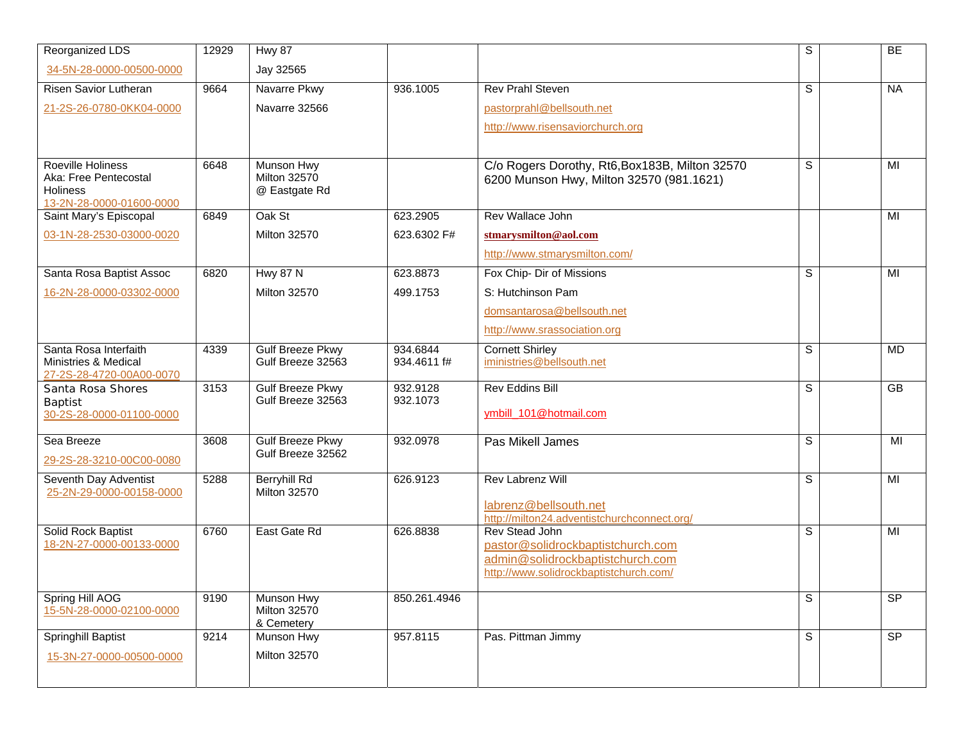| Reorganized LDS                                  | 12929 | <b>Hwy 87</b>                        |              |                                                                            | S                       | BE             |
|--------------------------------------------------|-------|--------------------------------------|--------------|----------------------------------------------------------------------------|-------------------------|----------------|
| 34-5N-28-0000-00500-0000                         |       | Jay 32565                            |              |                                                                            |                         |                |
| Risen Savior Lutheran                            | 9664  | Navarre Pkwy                         | 936.1005     | <b>Rev Prahl Steven</b>                                                    | S                       | <b>NA</b>      |
| 21-2S-26-0780-0KK04-0000                         |       | Navarre 32566                        |              | pastorprahl@bellsouth.net                                                  |                         |                |
|                                                  |       |                                      |              | http://www.risensaviorchurch.org                                           |                         |                |
|                                                  |       |                                      |              |                                                                            |                         |                |
| Roeville Holiness                                | 6648  | Munson Hwy                           |              | C/o Rogers Dorothy, Rt6, Box183B, Milton 32570                             | $\overline{s}$          | MI             |
| Aka: Free Pentecostal<br>Holiness                |       | <b>Milton 32570</b><br>@ Eastgate Rd |              | 6200 Munson Hwy, Milton 32570 (981.1621)                                   |                         |                |
| 13-2N-28-0000-01600-0000                         |       |                                      |              |                                                                            |                         |                |
| Saint Mary's Episcopal                           | 6849  | Oak St                               | 623.2905     | Rev Wallace John                                                           |                         | MI             |
| 03-1N-28-2530-03000-0020                         |       | <b>Milton 32570</b>                  | 623.6302 F#  | stmarysmilton@aol.com                                                      |                         |                |
|                                                  |       |                                      |              | http://www.stmarysmilton.com/                                              |                         |                |
| Santa Rosa Baptist Assoc                         | 6820  | <b>Hwy 87 N</b>                      | 623.8873     | Fox Chip- Dir of Missions                                                  | S                       | MI             |
| 16-2N-28-0000-03302-0000                         |       | <b>Milton 32570</b>                  | 499.1753     | S: Hutchinson Pam                                                          |                         |                |
|                                                  |       |                                      |              | domsantarosa@bellsouth.net                                                 |                         |                |
|                                                  |       |                                      |              | http://www.srassociation.org                                               |                         |                |
| Santa Rosa Interfaith                            | 4339  | Gulf Breeze Pkwy                     | 934.6844     | <b>Cornett Shirley</b>                                                     | S                       | <b>MD</b>      |
| Ministries & Medical<br>27-2S-28-4720-00A00-0070 |       | Gulf Breeze 32563                    | 934.4611 f#  | iministries@bellsouth.net                                                  |                         |                |
| Santa Rosa Shores                                | 3153  | <b>Gulf Breeze Pkwy</b>              | 932.9128     | <b>Rev Eddins Bill</b>                                                     | $\overline{\mathsf{s}}$ | GB             |
| Baptist                                          |       | Gulf Breeze 32563                    | 932.1073     |                                                                            |                         |                |
| 30-2S-28-0000-01100-0000                         |       |                                      |              | ymbill_101@hotmail.com                                                     |                         |                |
| Sea Breeze                                       | 3608  | <b>Gulf Breeze Pkwy</b>              | 932.0978     | Pas Mikell James                                                           | S                       | MI             |
| 29-2S-28-3210-00C00-0080                         |       | Gulf Breeze 32562                    |              |                                                                            |                         |                |
| Seventh Day Adventist                            | 5288  | Berryhill Rd                         | 626.9123     | Rev Labrenz Will                                                           | S                       | MI             |
| 25-2N-29-0000-00158-0000                         |       | <b>Milton 32570</b>                  |              |                                                                            |                         |                |
|                                                  |       |                                      |              | labrenz@bellsouth.net<br>http://milton24.adventistchurchconnect.org/       |                         |                |
| Solid Rock Baptist                               | 6760  | East Gate Rd                         | 626.8838     | Rev Stead John                                                             | S                       | MI             |
| 18-2N-27-0000-00133-0000                         |       |                                      |              | pastor@solidrockbaptistchurch.com                                          |                         |                |
|                                                  |       |                                      |              | admin@solidrockbaptistchurch.com<br>http://www.solidrockbaptistchurch.com/ |                         |                |
|                                                  |       |                                      |              |                                                                            |                         |                |
| Spring Hill AOG                                  | 9190  | Munson Hwy                           | 850.261.4946 |                                                                            | S                       | SP             |
| 15-5N-28-0000-02100-0000                         |       | <b>Milton 32570</b><br>& Cemetery    |              |                                                                            |                         |                |
| Springhill Baptist                               | 9214  | Munson Hwy                           | 957.8115     | Pas. Pittman Jimmy                                                         | S                       | S <sub>P</sub> |
| 15-3N-27-0000-00500-0000                         |       | <b>Milton 32570</b>                  |              |                                                                            |                         |                |
|                                                  |       |                                      |              |                                                                            |                         |                |
|                                                  |       |                                      |              |                                                                            |                         |                |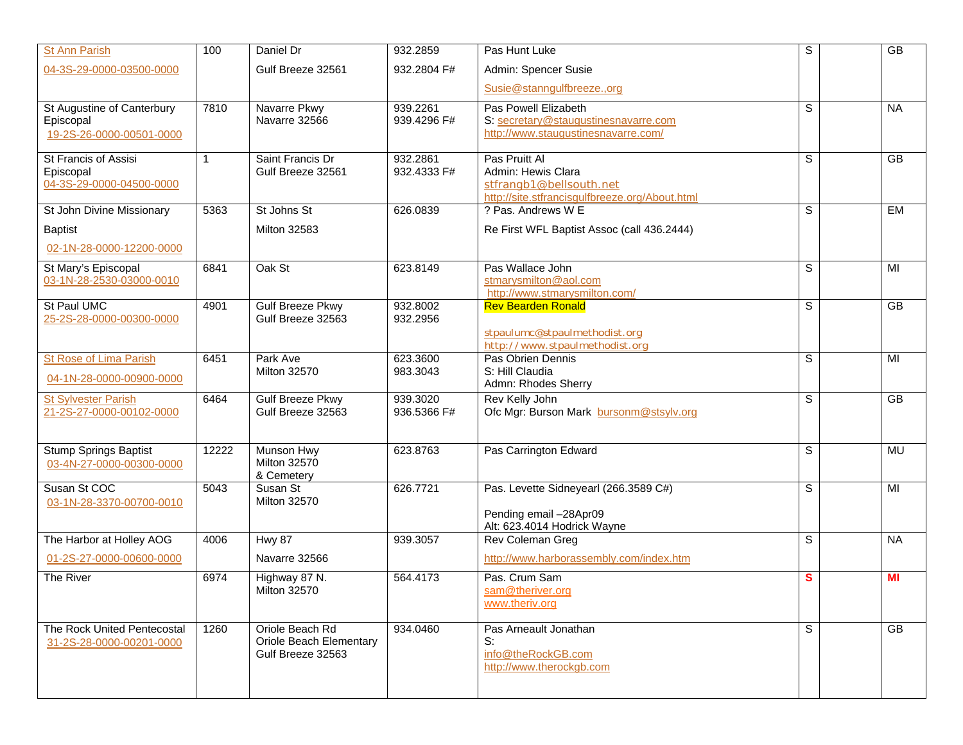| <b>St Ann Parish</b>                                    | 100          | Daniel Dr                                    | 932.2859                | Pas Hunt Luke                                                             | S              | GB              |
|---------------------------------------------------------|--------------|----------------------------------------------|-------------------------|---------------------------------------------------------------------------|----------------|-----------------|
| 04-3S-29-0000-03500-0000                                |              | Gulf Breeze 32561                            | 932.2804 F#             | Admin: Spencer Susie                                                      |                |                 |
|                                                         |              |                                              |                         | Susie@stanngulfbreeze.,org                                                |                |                 |
| St Augustine of Canterbury<br>Episcopal                 | 7810         | Navarre Pkwy<br>Navarre 32566                | 939.2261<br>939.4296 F# | Pas Powell Elizabeth<br>S: secretary@staugustinesnavarre.com              | S              | <b>NA</b>       |
| 19-2S-26-0000-00501-0000                                |              |                                              |                         | http://www.staugustinesnavarre.com/                                       |                |                 |
| St Francis of Assisi<br>Episcopal                       | $\mathbf{1}$ | Saint Francis Dr<br>Gulf Breeze 32561        | 932.2861<br>932.4333 F# | Pas Pruitt Al<br>Admin: Hewis Clara                                       | S              | GB              |
| 04-3S-29-0000-04500-0000                                |              |                                              |                         | stfrangb1@bellsouth.net<br>http://site.stfrancisgulfbreeze.org/About.html |                |                 |
| St John Divine Missionary                               | 5363         | St Johns St                                  | 626.0839                | ? Pas. Andrews W E                                                        | $\overline{s}$ | <b>EM</b>       |
| <b>Baptist</b>                                          |              | <b>Milton 32583</b>                          |                         | Re First WFL Baptist Assoc (call 436.2444)                                |                |                 |
| 02-1N-28-0000-12200-0000                                |              |                                              |                         |                                                                           |                |                 |
| St Mary's Episcopal<br>03-1N-28-2530-03000-0010         | 6841         | Oak St                                       | 623.8149                | Pas Wallace John<br>stmarysmilton@aol.com                                 | S              | MI              |
|                                                         |              |                                              |                         | http://www.stmarysmilton.com/                                             |                |                 |
| St Paul UMC<br>25-2S-28-0000-00300-0000                 | 4901         | <b>Gulf Breeze Pkwy</b><br>Gulf Breeze 32563 | 932.8002<br>932.2956    | <b>Rev Bearden Ronald</b>                                                 | S              | GB              |
|                                                         |              |                                              |                         | stpaulumc@stpaulmethodist.org                                             |                |                 |
| <b>St Rose of Lima Parish</b>                           | 6451         | Park Ave                                     | 623.3600                | http://www.stpaulmethodist.org<br>Pas Obrien Dennis                       | S              | MI              |
| 04-1N-28-0000-00900-0000                                |              | <b>Milton 32570</b>                          | 983.3043                | S: Hill Claudia<br>Admn: Rhodes Sherry                                    |                |                 |
| <b>St Sylvester Parish</b><br>21-2S-27-0000-00102-0000  | 6464         | <b>Gulf Breeze Pkwy</b><br>Gulf Breeze 32563 | 939.3020<br>936.5366 F# | Rev Kelly John<br>Ofc Mgr: Burson Mark bursonm@stsylv.org                 | $\overline{s}$ | $\overline{GB}$ |
|                                                         |              |                                              |                         |                                                                           |                |                 |
| <b>Stump Springs Baptist</b>                            | 12222        | Munson Hwy                                   | 623.8763                | Pas Carrington Edward                                                     | S              | <b>MU</b>       |
| 03-4N-27-0000-00300-0000                                |              | <b>Milton 32570</b><br>& Cemetery            |                         |                                                                           |                |                 |
| Susan St COC<br>03-1N-28-3370-00700-0010                | 5043         | Susan St<br><b>Milton 32570</b>              | 626.7721                | Pas. Levette Sidneyearl (266.3589 C#)                                     | S              | MI              |
|                                                         |              |                                              |                         | Pending email -28Apr09                                                    |                |                 |
| The Harbor at Holley AOG                                | 4006         | <b>Hwy 87</b>                                | 939.3057                | Alt: 623.4014 Hodrick Wayne<br>Rev Coleman Greg                           | S              | <b>NA</b>       |
| 01-2S-27-0000-00600-0000                                |              | Navarre 32566                                |                         | http://www.harborassembly.com/index.htm                                   |                |                 |
| The River                                               | 6974         | Highway 87 N.                                | 564.4173                | Pas. Crum Sam                                                             | S              | MI              |
|                                                         |              | Milton 32570                                 |                         | sam@theriver.org<br>www.theriv.org                                        |                |                 |
|                                                         |              |                                              |                         |                                                                           |                |                 |
| The Rock United Pentecostal<br>31-2S-28-0000-00201-0000 | 1260         | Oriole Beach Rd<br>Oriole Beach Elementary   | 934.0460                | Pas Arneault Jonathan<br>S:                                               | S              | $\overline{GB}$ |
|                                                         |              | Gulf Breeze 32563                            |                         | info@theRockGB.com                                                        |                |                 |
|                                                         |              |                                              |                         | http://www.therockgb.com                                                  |                |                 |
|                                                         |              |                                              |                         |                                                                           |                |                 |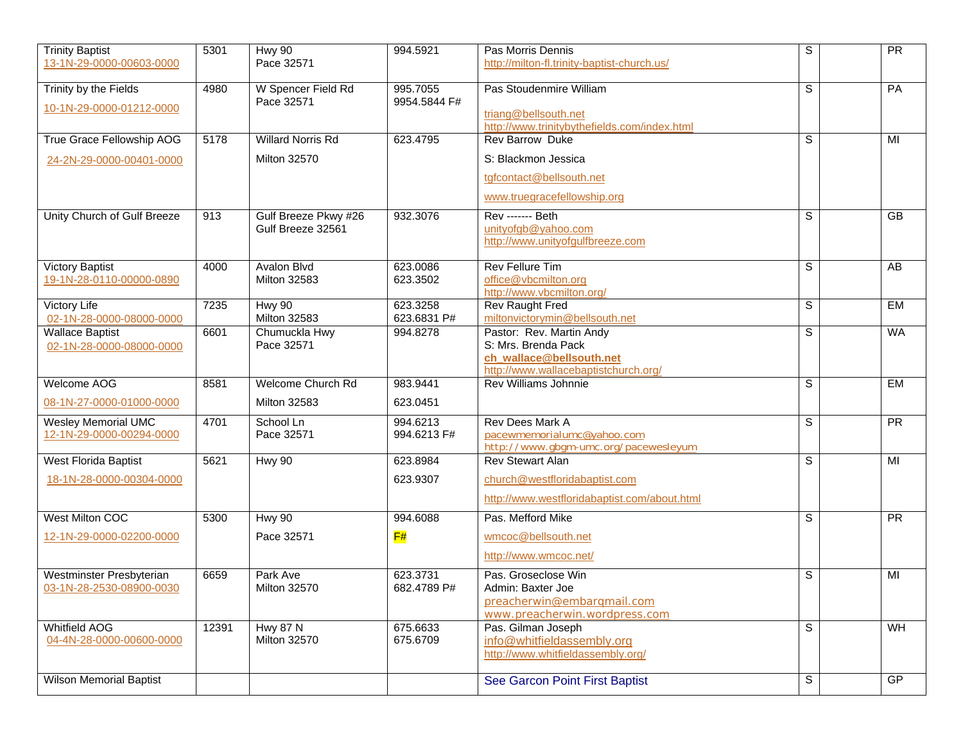| <b>Trinity Baptist</b>                                 | 5301  | <b>Hwy 90</b>                             | 994.5921                | Pas Morris Dennis                                                                                                   | S | PR              |
|--------------------------------------------------------|-------|-------------------------------------------|-------------------------|---------------------------------------------------------------------------------------------------------------------|---|-----------------|
| 13-1N-29-0000-00603-0000                               |       | Pace 32571                                |                         | http://milton-fl.trinity-baptist-church.us/                                                                         |   |                 |
| Trinity by the Fields                                  | 4980  | W Spencer Field Rd                        | 995.7055                | Pas Stoudenmire William                                                                                             | S | PA              |
| 10-1N-29-0000-01212-0000                               |       | Pace 32571                                | 9954.5844 F#            | triang@bellsouth.net<br>http://www.trinitybythefields.com/index.html                                                |   |                 |
| True Grace Fellowship AOG                              | 5178  | <b>Willard Norris Rd</b>                  | 623.4795                | <b>Rev Barrow Duke</b>                                                                                              | S | MI              |
| 24-2N-29-0000-00401-0000                               |       | <b>Milton 32570</b>                       |                         | S: Blackmon Jessica                                                                                                 |   |                 |
|                                                        |       |                                           |                         | tgfcontact@bellsouth.net                                                                                            |   |                 |
|                                                        |       |                                           |                         | www.truegracefellowship.org                                                                                         |   |                 |
| Unity Church of Gulf Breeze                            | 913   | Gulf Breeze Pkwy #26<br>Gulf Breeze 32561 | 932.3076                | <b>Rev ------- Beth</b><br>unityofgb@yahoo.com<br>http://www.unityofgulfbreeze.com                                  | S | GB              |
| <b>Victory Baptist</b><br>19-1N-28-0110-00000-0890     | 4000  | <b>Avalon Blvd</b><br><b>Milton 32583</b> | 623.0086<br>623.3502    | <b>Rev Fellure Tim</b><br>office@vbcmilton.org<br>http://www.vbcmilton.org/                                         | S | AB              |
| Victory Life<br>02-1N-28-0000-08000-0000               | 7235  | <b>Hwy 90</b><br><b>Milton 32583</b>      | 623.3258<br>623.6831 P# | Rev Raught Fred<br>miltonvictorymin@bellsouth.net                                                                   | S | <b>EM</b>       |
| <b>Wallace Baptist</b><br>02-1N-28-0000-08000-0000     | 6601  | Chumuckla Hwy<br>Pace 32571               | 994.8278                | Pastor: Rev. Martin Andy<br>S: Mrs. Brenda Pack<br>ch_wallace@bellsouth.net<br>http://www.wallacebaptistchurch.org/ | S | <b>WA</b>       |
| Welcome AOG                                            | 8581  | <b>Welcome Church Rd</b>                  | 983.9441                | <b>Rev Williams Johnnie</b>                                                                                         | S | <b>EM</b>       |
| 08-1N-27-0000-01000-0000                               |       | <b>Milton 32583</b>                       | 623.0451                |                                                                                                                     |   |                 |
| <b>Wesley Memorial UMC</b><br>12-1N-29-0000-00294-0000 | 4701  | School Ln<br>Pace 32571                   | 994.6213<br>994.6213 F# | <b>Rev Dees Mark A</b><br>pacewmemorialumc@yahoo.com<br>http://www.gbgm-umc.org/pacewesleyum                        | S | PR              |
| West Florida Baptist                                   | 5621  | <b>Hwy 90</b>                             | 623.8984                | <b>Rev Stewart Alan</b>                                                                                             | S | MI              |
| 18-1N-28-0000-00304-0000                               |       |                                           | 623.9307                | church@westfloridabaptist.com                                                                                       |   |                 |
|                                                        |       |                                           |                         | http://www.westfloridabaptist.com/about.html                                                                        |   |                 |
| <b>West Milton COC</b>                                 | 5300  | Hwy 90                                    | 994.6088                | Pas. Mefford Mike                                                                                                   | S | $\overline{PR}$ |
| 12-1N-29-0000-02200-0000                               |       | Pace 32571                                | $\mathsf{F}\#$          | wmcoc@bellsouth.net                                                                                                 |   |                 |
|                                                        |       |                                           |                         | http://www.wmcoc.net/                                                                                               |   |                 |
| Westminster Presbyterian<br>03-1N-28-2530-08900-0030   | 6659  | Park Ave<br>Milton 32570                  | 623.3731<br>682.4789 P# | Pas. Groseclose Win<br>Admin: Baxter Joe<br>preacherwin@embargmail.com<br>www.preacherwin.wordpress.com             | S | MI              |
| Whitfield AOG<br>04-4N-28-0000-00600-0000              | 12391 | <b>Hwy 87 N</b><br><b>Milton 32570</b>    | 675.6633<br>675.6709    | Pas. Gilman Joseph<br>info@whitfieldassembly.org<br>http://www.whitfieldassembly.org/                               | S | WH              |
| <b>Wilson Memorial Baptist</b>                         |       |                                           |                         | See Garcon Point First Baptist                                                                                      | S | GP              |